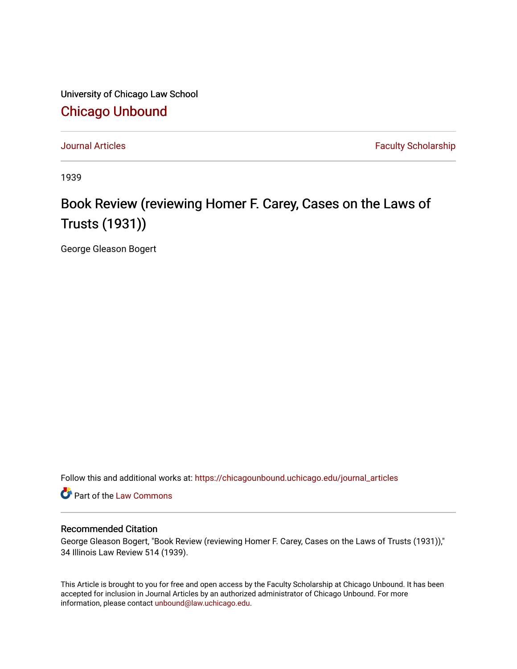University of Chicago Law School [Chicago Unbound](https://chicagounbound.uchicago.edu/)

[Journal Articles](https://chicagounbound.uchicago.edu/journal_articles) **Faculty Scholarship Journal Articles** 

1939

# Book Review (reviewing Homer F. Carey, Cases on the Laws of Trusts (1931))

George Gleason Bogert

Follow this and additional works at: [https://chicagounbound.uchicago.edu/journal\\_articles](https://chicagounbound.uchicago.edu/journal_articles?utm_source=chicagounbound.uchicago.edu%2Fjournal_articles%2F8934&utm_medium=PDF&utm_campaign=PDFCoverPages) 

Part of the [Law Commons](http://network.bepress.com/hgg/discipline/578?utm_source=chicagounbound.uchicago.edu%2Fjournal_articles%2F8934&utm_medium=PDF&utm_campaign=PDFCoverPages)

# Recommended Citation

George Gleason Bogert, "Book Review (reviewing Homer F. Carey, Cases on the Laws of Trusts (1931))," 34 Illinois Law Review 514 (1939).

This Article is brought to you for free and open access by the Faculty Scholarship at Chicago Unbound. It has been accepted for inclusion in Journal Articles by an authorized administrator of Chicago Unbound. For more information, please contact [unbound@law.uchicago.edu](mailto:unbound@law.uchicago.edu).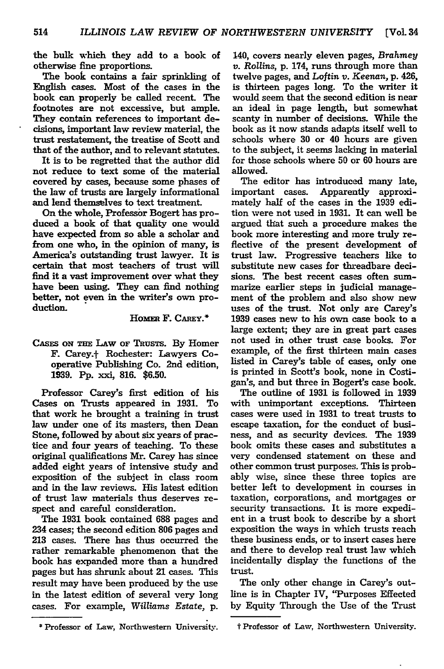the bulk which they add to a book of otherwise fine proportions.

The book contains a fair sprinkling of English cases. Most of the cases in the book can properly be called recent. The footnotes are not excessive, but ample. They contain references to important decisions, important law review material, the trust restatement, the treatise of Scott and that of the author, and to relevant statutes.

It is to be regretted that the author did not reduce to text some of the material covered **by** cases, because some phases of the law of trusts are largely informational and lend themselves to text treatment.

On the whole, Professor Bogert has produced a book of that quality one would have expected from so able a scholar and from one who, in the opinion of many, is America's outstanding trust lawyer. It is certain that most teachers of trust will find it a vast improvement over what they have been using. They can find nothing better, not even in the writer's own production.

#### HOMER F. CAREY.<sup>\*</sup>

### CAsES **ON THE LAW** or TRusTs. **By** Homer F. Carey.t Rochester: Lawyers Cooperative Publishing Co. 2nd edition, **1939. Pp.** xxi, **816. \$6.50.**

Professor Carey's first edition of his Cases on Trusts appeared in **1931.** To that work he brought a training in trust law under one of its masters, then Dean Stone, followed **by** about six years of practice and four years of teaching. To these original qualifications **Mr.** Carey has since added eight years of intensive study and exposition of the subject in class room and in the law reviews. His latest edition of trust law materials thus deserves respect and careful consideration.

The **1931** book contained **688** pages and 234 cases; the second edition **806** pages and **213** cases. There has thus occurred the rather remarkable phenomenon that the book has expanded more than a hundred pages but has shrunk about 21 cases. This result may have been produced **by** the use in the latest edition of several very long cases. For example, *Williams Estate,* **p.**

Professor **of** Law, Northwestern University.

140, covers nearly eleven pages, *Brahmey v. Rollins,* **p.** 174, runs through more than twelve pages, and *Loftin v. Keenan,* p. 426, is thirteen pages long. To the writer it would seem that the second edition is near an ideal in page length, but somewhat scanty in number of decisions. While the book as it now stands adapts itself well to schools where 30 or 40 hours are given to the subject, it seems lacking in material for those schools where **50** or **60** hours are allowed.

The editor has introduced many late, important cases. Apparently approximately half of the cases in the **1939** edition were not used in **1931.** It can well be argued that such a procedure makes the book more interesting and more truly reflective of the present development of trust law. Progressive teachers like to substitute new cases for threadbare decisions. The best recent cases often summarize earlier steps in judicial management of the problem and also show new uses of the trust. Not only are Carey's 1939 cases new to his own case book to a large extent; they are in great part cases not used in other trust case books. For example, of the first thirteen main cases listed in Carey's table of cases, only one is printed in Scott's book, none in Costigan's, and but three in Bogert's case book.

The outline of 1931 is followed in 1939 with unimportant exceptions. Thirteen cases were used in 1931 to treat trusts to escape taxation, for the conduct of business, and as security devices. The 1939 book omits these cases and substitutes a very condensed statement on these and other common trust purposes. This is probably wise, since these three topics are better left to development in courses in taxation, corporations, and mortgages or security transactions. It is more expedient in a trust book to describe by a short exposition the ways in which trusts reach these business ends, or to insert cases here and there to develop real trust law which incidentally display the functions of the trust.

The only other change in Carey's outline is in Chapter IV, "Purposes Effected by Equity Through the Use of the Trust

t Professor of Law, Northwestern University.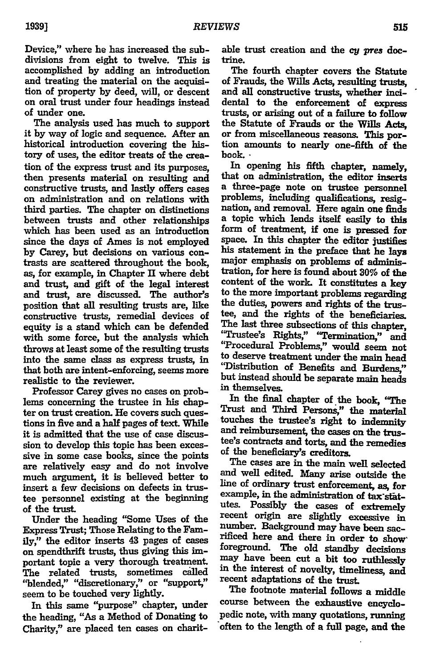Device," where he has increased the subdivisions from eight to twelve. This is accomplished **by** adding an introduction and treating the material on the acquisition of property **by** deed, will, or descent on oral trust under four headings instead of under one.

The analysis used has much to support it **by** way of logic and sequence. After an historical introduction covering the history of uses, the editor treats of the creation of the express trust and its purposes, then presents material on resulting and constructive trusts, and lastly offers cases on administration and on relations with third parties. The chapter on distinctions between trusts and other relationships which has been used as an introduction since the days of Ames is not employed **by** Carey, **but** decisions on various contrasts are scattered throughout the book, as, for example, in Chapter **H** where debt and trust, and gift of the legal interest and trust, are discussed. The author's position that all resulting trusts are, like constructive trusts, remedial devices of equity is a stand which can be defended with some force, but the analysis which throws at least some of the resulting trusts into the same class as express trusts, in that both are intent-enforcing, seems more realistic to the reviewer.

Professor Carey gives no cases on problems concerning the trustee in his chapter on trust creation. He covers such questions in five and a half pages of text. While it is admitted that the use of case discussion to develop this topic has been excessive in some case books, since the points are relatively easy and do not involve much argument, it is believed better to insert a few decisions on defects in trustee personnel existing at the beginning of the trust.

Under the heading "Some Uses of the Express Trust; Those Relating to the Family," the editor inserts 43 pages of cases on spendthrift trusts, thus giving this important topic a very thorough treatment. The related trusts, sometimes called "blended," "discretionary," or "support," seem to be touched very lightly.

In this same "purpose" chapter, under the heading, "As a Method of Donating to Charity," are placed ten cases on charit-

able trust creation and the cy pres doctrine.

The fourth chapter covers the Statute of Frauds, the Wills Acts, resulting trusts, and all constructive trusts, whether incidental to the enforcement of express trusts, or arising out of a failure to follow the Statute of Frauds or the Wills Acts, or from miscellaneous reasons. This portion amounts to nearly one-fifth of the

In opening his fifth chapter, namely, that on administration, the editor inserts a three-page note on trustee personnel problems, including qualifications, resignation, and removal. Here again one finds a topic which lends itself easily to this form of treatment, if one is pressed for space. In this chapter the editor justifies his statement in the preface that he lays major emphasis on problems of administration, for here is found about **30%** of the content of the work. It constitutes a key to the more important problems regarding the duties, powers and rights of the trustee, and the rights of the beneficiaries. The last three subsections of this chapter, 'Trustee's Rights," 'Termination," and "Procedural Problems," would seem not to deserve treatment under the main head "Distribution of Benefits and Burdens," but instead should be separate main heads in themselves.

In the final chapter of the book, "The Trust and Third Persons," the material touches the **trustees** right to indemnity and reimbursement, the cases on the trustee's contracts and torts, and the remedies of the beneficiary's creditors.

The cases are in the main well selected and well edited. Many arise outside the line of ordinary trust enforcement, as, for example, in the administration of  $tax$  statutes. Possibly the cases of extremely recent origin are slightly excessive in number. Background may have been sacrificed here and there in order to show' foreground. The old standby decisions may have been cut a bit too ruthlessly in the interest of novelty, timeliness, and recent adaptations of the trust.

The footnote material follows a middle course between the exhaustive encyclopedic note, with many quotations, running often to the length of a full page, and the